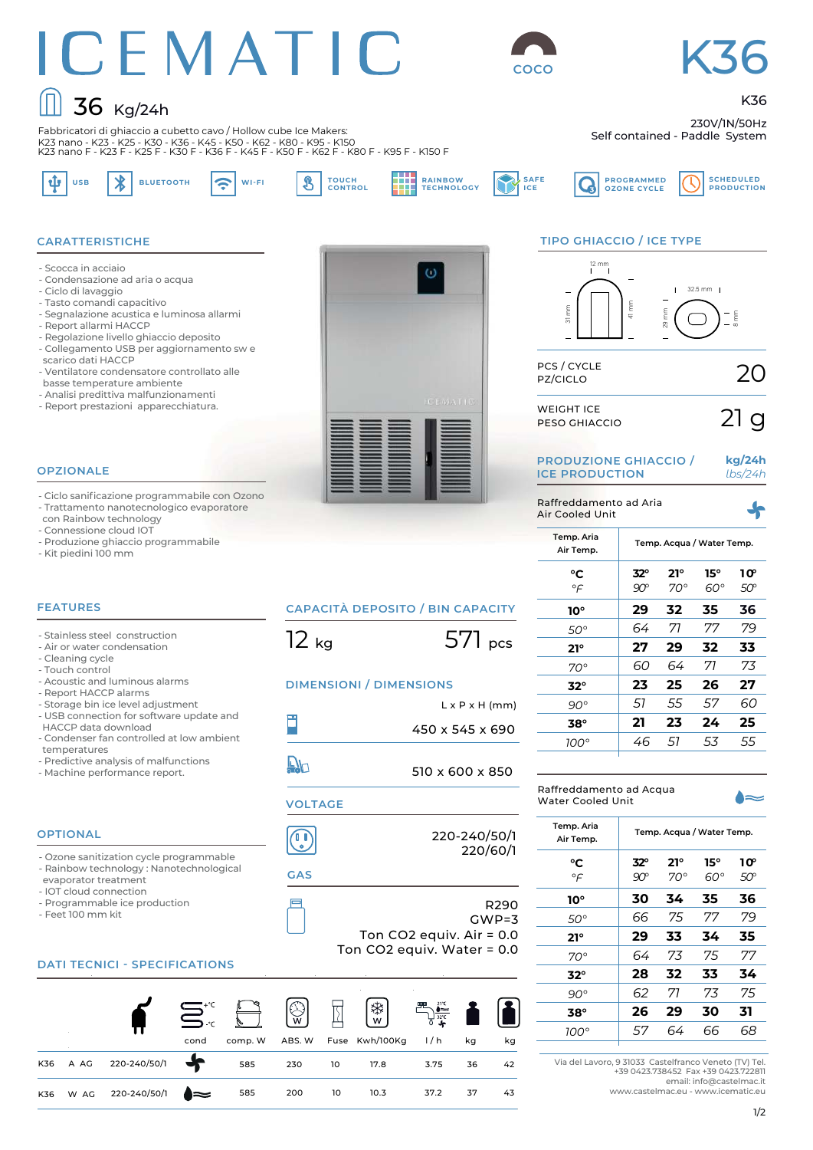## ICEMATIC  $\boxed{)}$  36 Kg/24h

Fabbricatori di ghiaccio a cubetto cavo / Hollow cube Ice Makers:



**SAFE ICE**

# K36

K36

**SCHEDULED PRODUCTION**

230V/1N/50Hz Self contained - Paddle System

K23 nano - K23 - K25 - K30 - K36 - K45 - K50 - K62 - K80 - K95 - K150 K23 nano F - K23 F - K25 F - K30 F - K36 F - K45 F - K50 F - K62 F - K80 F - K95 F - K150 F ψ

USB **A** BLUETOOTH **A TOUCH<br>CONTROL** 



#### **TIPO GHIACCIO / ICE TYPE**

**PROGRAMMED OZONE CYCLE**



| <b>PRODUZIONE GHIACCIO /</b> |  |
|------------------------------|--|
| <b>ICE PRODUCTION</b>        |  |

Raffreddamento ad Aria Air Cooled Unit

```
kg/24h
lbs/24h
```

| Temp. Aria<br>Air Temp. |            |            | Temp. Acqua / Water Temp. |                 |
|-------------------------|------------|------------|---------------------------|-----------------|
| °C                      | $32^\circ$ | $21^\circ$ | 15°                       | 10 <sup>°</sup> |
| $\circ \in$             | 90°        | 70°        | ഔ                         | 50°             |
| 10°                     | 29         | 32         | 35                        | 36              |
| 50°                     | 64         | 71         | 77                        | 79              |
| $21^\circ$              | 27         | 29         | 32                        | 33              |
| $70^{\circ}$            | 60         | 64         | 71                        | 73              |
| $32^\circ$              | 23         | 25         | 26                        | 27              |
| $90^\circ$              | 51         | 55         | 57                        | 60              |
| 38°                     | 21         | 23         | 24                        | 25              |
| 100°                    | 46         | 51         | 53                        | 55              |
|                         |            |            |                           |                 |

| Raffreddamento ad Acqua<br>Water Cooled Unit |                           |  |
|----------------------------------------------|---------------------------|--|
| Temp. Aria<br>Air Temp.                      | Temp. Acqua / Water Temp. |  |

| °C<br>$\circ \in$ | $32^\circ$<br>$90^{\circ}$ | $21^{\circ}$<br>$70^{\circ}$ | $15^\circ$<br>$60^\circ$ | 1ው<br>50° |
|-------------------|----------------------------|------------------------------|--------------------------|-----------|
| 10°               | 30                         | 34                           | 35                       | 36        |
| 50°               | 66                         | 75                           | 77                       | 79        |
| $21^{\circ}$      | 29                         | 33                           | 34                       | 35        |
| $70^{\circ}$      | 64                         | 73                           | 75                       | 77        |
| $32^\circ$        | 28                         | 32                           | 33                       | 34        |
| $90^\circ$        | 62                         | 71                           | 73                       | 75        |
| $38^\circ$        | 26                         | 29                           | 30                       | 31        |
| $100^\circ$       | 57                         | 64                           | 66                       | 68        |
|                   |                            |                              |                          |           |

Via del Lavoro, 9 31033 Castelfranco Veneto (TV) Tel. +39 0423.738452 Fax +39 0423.722811 email: info@castelmac.it

www.castelmac.eu - www.icematic.eu



#### **OPZIONALE**

- Scocca in acciaio

**CARATTERISTICHE**

- Ciclo di lavaggio - Tasto comandi capacitivo

- Report allarmi HACCP

scarico dati HACCP

- Condensazione ad aria o acqua

basse temperature ambiente - Analisi predittiva malfunzionamenti - Report prestazioni apparecchiatura.

- Segnalazione acustica e luminosa allarmi

- Ventilatore condensatore controllato alle

- Regolazione livello ghiaccio deposito - Collegamento USB per aggiornamento sw e

- Ciclo sanificazione programmabile con Ozono - Trattamento nanotecnologico evaporatore con Rainbow technology
- Connessione cloud IOT
- Produzione ghiaccio programmabile
- Kit piedini 100 mm

#### **FEATURES**

- Stainless steel construction
- Air or water condensation
- Cleaning cycle - Touch control
- Acoustic and luminous alarms
- Report HACCP alarms
- Storage bin ice level adjustment
- USB connection for software update and
- HACCP data download - Condenser fan controlled at low ambient temperatures
- Predictive analysis of malfunctions
- Machine performance report.

#### **OPTIONAL**

- Ozone sanitization cycle programmable - Rainbow technology : Nanotechnological
- evaporator treatment
- IOT cloud connection - Programmable ice production
- Feet 100 mm kit

#### **DATI TECNICI - SPECIFICATIONS**

|     |      |                   |      | $\sum_{i\in\mathbb{Z}}\mathbb{Z}^n$ | $\begin{bmatrix} \mathbb{Q} \\ \mathbb{Q} \end{bmatrix}$ . Then |    | $\left[\begin{smallmatrix} * & * \ * & * \end{smallmatrix}\right]$ | $\sum_{\substack{3x\\3x}}^{x}$ is $\blacksquare$ |    |    |
|-----|------|-------------------|------|-------------------------------------|-----------------------------------------------------------------|----|--------------------------------------------------------------------|--------------------------------------------------|----|----|
|     |      |                   | cond | comp. W                             |                                                                 |    | ABS. W Fuse Kwh/100Kg                                              | 1/h                                              | kg | kg |
| K36 | A AG | 220-240/50/1      |      | 585                                 | 230 10                                                          |    | 17.8                                                               | 3.75                                             | 36 | 42 |
| K36 |      | W AG 220-240/50/1 | ▗▅   | 585                                 | 200                                                             | 10 | 10.3                                                               | 37.2                                             | 37 | 43 |

| <b>CAPACITÀ DEPOSITO / BIN CAPACITY</b> |  |
|-----------------------------------------|--|

 $12 \text{ kg}$  571 pcs

#### **DIMENSIONI / DIMENSIONS**

- $L \times P \times H$  (mm) Ë 450 x 545 x 690
- $\mathbb{D}^1$ 510 x 600 x 850

#### **VOLTAGE**

 $\bigodot$ 

220-240/50/1

## GWP=3

220/60/1 **GAS**

Ē

R290

Ton CO2 equiv. Air = 0.0 Ton CO2 equiv. Water = 0.0

1/2